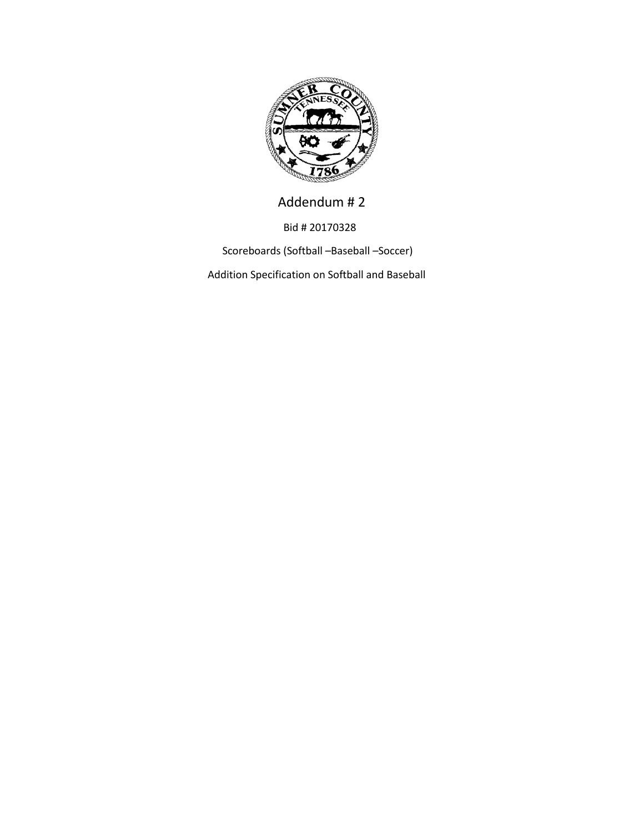

Addendum # 2

Bid # 20170328

Scoreboards (Softball –Baseball –Soccer)

Addition Specification on Softball and Baseball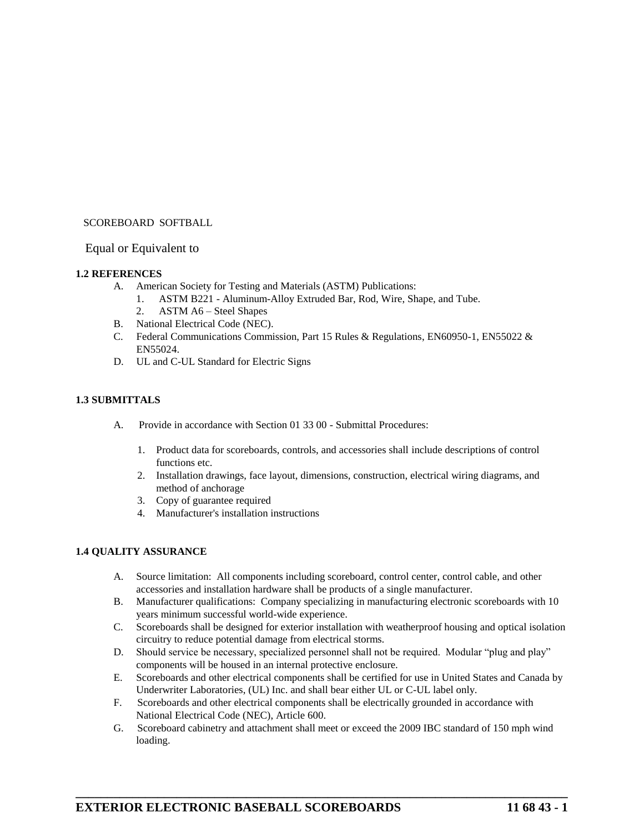# SCOREBOARD SOFTBALL<br>Equal or Equivalent to

#### **1.2 REFERENCES**

- A. American Society for Testing and Materials (ASTM) Publications:
	- 1. ASTM B221 Aluminum-Alloy Extruded Bar, Rod, Wire, Shape, and Tube.
	- 2. ASTM A6 Steel Shapes
- B. National Electrical Code (NEC).
- C. Federal Communications Commission, Part 15 Rules & Regulations, EN60950-1, EN55022 & EN55024.
- D. UL and C-UL Standard for Electric Signs

#### **1.3 SUBMITTALS**

- A. Provide in accordance with Section 01 33 00 Submittal Procedures:
	- 1. Product data for scoreboards, controls, and accessories shall include descriptions of control functions etc.
	- 2. Installation drawings, face layout, dimensions, construction, electrical wiring diagrams, and method of anchorage
	- 3. Copy of guarantee required
	- 4. Manufacturer's installation instructions

#### **1.4 QUALITY ASSURANCE**

- A. Source limitation: All components including scoreboard, control center, control cable, and other accessories and installation hardware shall be products of a single manufacturer.
- B. Manufacturer qualifications: Company specializing in manufacturing electronic scoreboards with 10 years minimum successful world-wide experience.
- C. Scoreboards shall be designed for exterior installation with weatherproof housing and optical isolation circuitry to reduce potential damage from electrical storms.
- D. Should service be necessary, specialized personnel shall not be required. Modular "plug and play" components will be housed in an internal protective enclosure.
- E. Scoreboards and other electrical components shall be certified for use in United States and Canada by Underwriter Laboratories, (UL) Inc. and shall bear either UL or C-UL label only.
- F. Scoreboards and other electrical components shall be electrically grounded in accordance with National Electrical Code (NEC), Article 600.
- G. Scoreboard cabinetry and attachment shall meet or exceed the 2009 IBC standard of 150 mph wind loading.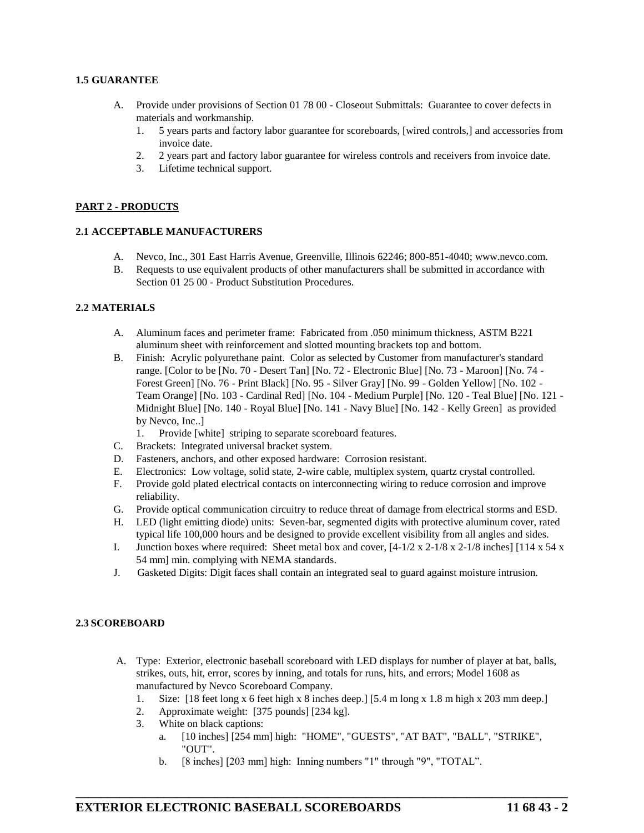#### **1.5 GUARANTEE**

- A. Provide under provisions of Section 01 78 00 Closeout Submittals: Guarantee to cover defects in materials and workmanship.
	- 1. 5 years parts and factory labor guarantee for scoreboards, [wired controls,] and accessories from invoice date.
	- 2. 2 years part and factory labor guarantee for wireless controls and receivers from invoice date.
	- 3. Lifetime technical support.

#### **PART 2 - PRODUCTS**

#### **2.1 ACCEPTABLE MANUFACTURERS**

- A. Nevco, Inc., 301 East Harris Avenue, Greenville, Illinois 62246; 800-851-4040; www.nevco.com.
- B. Requests to use equivalent products of other manufacturers shall be submitted in accordance with Section 01 25 00 - Product Substitution Procedures.

#### **2.2 MATERIALS**

- A. Aluminum faces and perimeter frame: Fabricated from .050 minimum thickness, ASTM B221 aluminum sheet with reinforcement and slotted mounting brackets top and bottom.
- B. Finish: Acrylic polyurethane paint. Color as selected by Customer from manufacturer's standard range. [Color to be [No. 70 - Desert Tan] [No. 72 - Electronic Blue] [No. 73 - Maroon] [No. 74 - Forest Green] [No. 76 - Print Black] [No. 95 - Silver Gray] [No. 99 - Golden Yellow] [No. 102 - Team Orange] [No. 103 - Cardinal Red] [No. 104 - Medium Purple] [No. 120 - Teal Blue] [No. 121 - Midnight Blue] [No. 140 - Royal Blue] [No. 141 - Navy Blue] [No. 142 - Kelly Green] as provided by Nevco, Inc..]
	- 1. Provide [white] striping to separate scoreboard features.
- C. Brackets: Integrated universal bracket system.
- D. Fasteners, anchors, and other exposed hardware: Corrosion resistant.
- E. Electronics: Low voltage, solid state, 2-wire cable, multiplex system, quartz crystal controlled.
- F. Provide gold plated electrical contacts on interconnecting wiring to reduce corrosion and improve reliability.
- G. Provide optical communication circuitry to reduce threat of damage from electrical storms and ESD.
- H. LED (light emitting diode) units: Seven-bar, segmented digits with protective aluminum cover, rated typical life 100,000 hours and be designed to provide excellent visibility from all angles and sides.
- I. Junction boxes where required: Sheet metal box and cover,  $[4-1/2 \times 2-1/8 \times 2-1/8 \text{ inches}]$  [114 x 54 x 54 mm] min. complying with NEMA standards.
- J. Gasketed Digits: Digit faces shall contain an integrated seal to guard against moisture intrusion.

#### **2.3 SCOREBOARD**

- A. Type: Exterior, electronic baseball scoreboard with LED displays for number of player at bat, balls, strikes, outs, hit, error, scores by inning, and totals for runs, hits, and errors; Model 1608 as manufactured by Nevco Scoreboard Company.
	- 1. Size: [18 feet long x 6 feet high x 8 inches deep.] [5.4 m long x 1.8 m high x 203 mm deep.]
	- 2. Approximate weight: [375 pounds] [234 kg].
	- 3. White on black captions:
		- a. [10 inches] [254 mm] high: "HOME", "GUESTS", "AT BAT", "BALL", "STRIKE", "OUT".
		- b. [8 inches] [203 mm] high: Inning numbers "1" through "9", "TOTAL".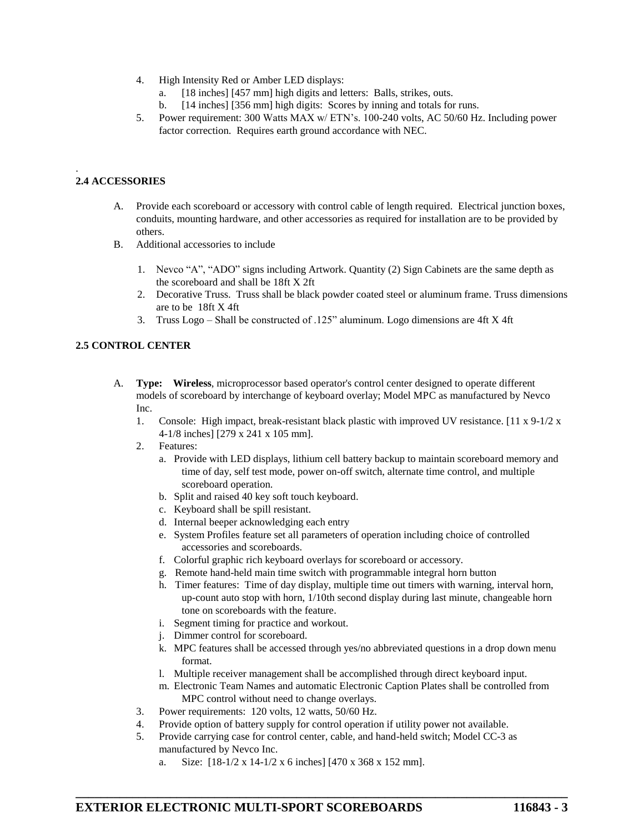- 4. High Intensity Red or Amber LED displays:
	- [18 inches] [457 mm] high digits and letters: Balls, strikes, outs.
	- b. [14 inches] [356 mm] high digits: Scores by inning and totals for runs.
- 5. Power requirement: 300 Watts MAX w/ ETN's. 100-240 volts, AC 50/60 Hz. Including power factor correction. Requires earth ground accordance with NEC.

# **2.4 ACCESSORIES**

.

- A. Provide each scoreboard or accessory with control cable of length required. Electrical junction boxes, conduits, mounting hardware, and other accessories as required for installation are to be provided by others.
- B. Additional accessories to include
	- 1. Nevco "A", "ADO" signs including Artwork. Quantity (2) Sign Cabinets are the same depth as the scoreboard and shall be 18ft X 2ft
	- 2. Decorative Truss. Truss shall be black powder coated steel or aluminum frame. Truss dimensions are to be 18ft X 4ft
	- 3. Truss Logo Shall be constructed of .125" aluminum. Logo dimensions are 4ft X 4ft

# **2.5 CONTROL CENTER**

- A. **Type: Wireless**, microprocessor based operator's control center designed to operate different models of scoreboard by interchange of keyboard overlay; Model MPC as manufactured by Nevco Inc.
	- 1. Console: High impact, break-resistant black plastic with improved UV resistance. [11 x 9-1/2 x 4-1/8 inches] [279 x 241 x 105 mm].
	- 2. Features:
		- a. Provide with LED displays, lithium cell battery backup to maintain scoreboard memory and time of day, self test mode, power on-off switch, alternate time control, and multiple scoreboard operation.
		- b. Split and raised 40 key soft touch keyboard.
		- c. Keyboard shall be spill resistant.
		- d. Internal beeper acknowledging each entry
		- e. System Profiles feature set all parameters of operation including choice of controlled accessories and scoreboards.
		- f. Colorful graphic rich keyboard overlays for scoreboard or accessory.
		- g. Remote hand-held main time switch with programmable integral horn button
		- h. Timer features: Time of day display, multiple time out timers with warning, interval horn, up-count auto stop with horn, 1/10th second display during last minute, changeable horn tone on scoreboards with the feature.
		- i. Segment timing for practice and workout.
		- j. Dimmer control for scoreboard.
		- k. MPC features shall be accessed through yes/no abbreviated questions in a drop down menu format.
		- l. Multiple receiver management shall be accomplished through direct keyboard input.
		- m. Electronic Team Names and automatic Electronic Caption Plates shall be controlled from MPC control without need to change overlays.
	- 3. Power requirements: 120 volts, 12 watts, 50/60 Hz.
	- 4. Provide option of battery supply for control operation if utility power not available.
	- 5. Provide carrying case for control center, cable, and hand-held switch; Model CC-3 as manufactured by Nevco Inc.
		- Size: [18-1/2 x 14-1/2 x 6 inches] [470 x 368 x 152 mm].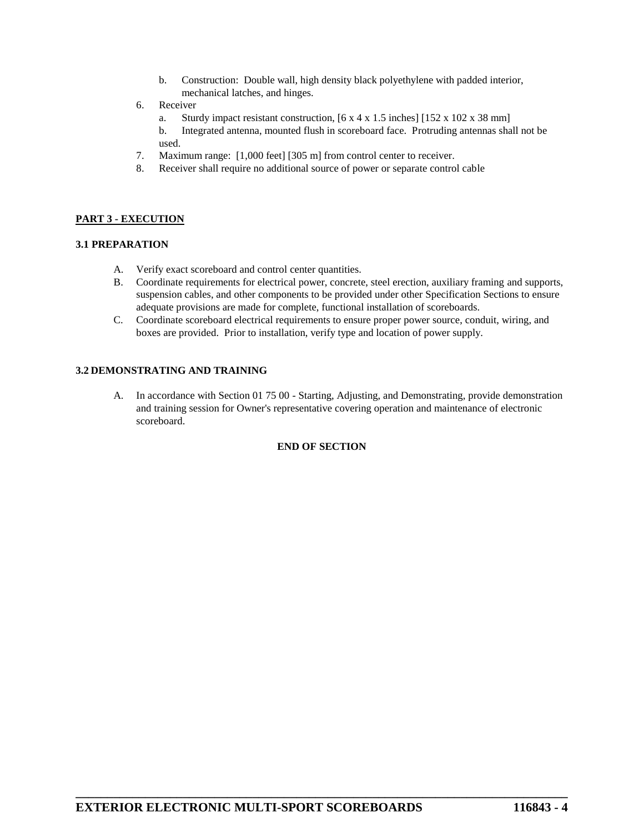- b. Construction: Double wall, high density black polyethylene with padded interior, mechanical latches, and hinges.
- 6. Receiver
	- a. Sturdy impact resistant construction, [6 x 4 x 1.5 inches] [152 x 102 x 38 mm]
	- b. Integrated antenna, mounted flush in scoreboard face. Protruding antennas shall not be used.
- 7. Maximum range: [1,000 feet] [305 m] from control center to receiver.
- 8. Receiver shall require no additional source of power or separate control cable

#### **PART 3 - EXECUTION**

#### **3.1 PREPARATION**

- A. Verify exact scoreboard and control center quantities.
- B. Coordinate requirements for electrical power, concrete, steel erection, auxiliary framing and supports, suspension cables, and other components to be provided under other Specification Sections to ensure adequate provisions are made for complete, functional installation of scoreboards.
- C. Coordinate scoreboard electrical requirements to ensure proper power source, conduit, wiring, and boxes are provided. Prior to installation, verify type and location of power supply.

#### **3.2 DEMONSTRATING AND TRAINING**

A. In accordance with Section 01 75 00 - Starting, Adjusting, and Demonstrating, provide demonstration and training session for Owner's representative covering operation and maintenance of electronic scoreboard.

#### **END OF SECTION**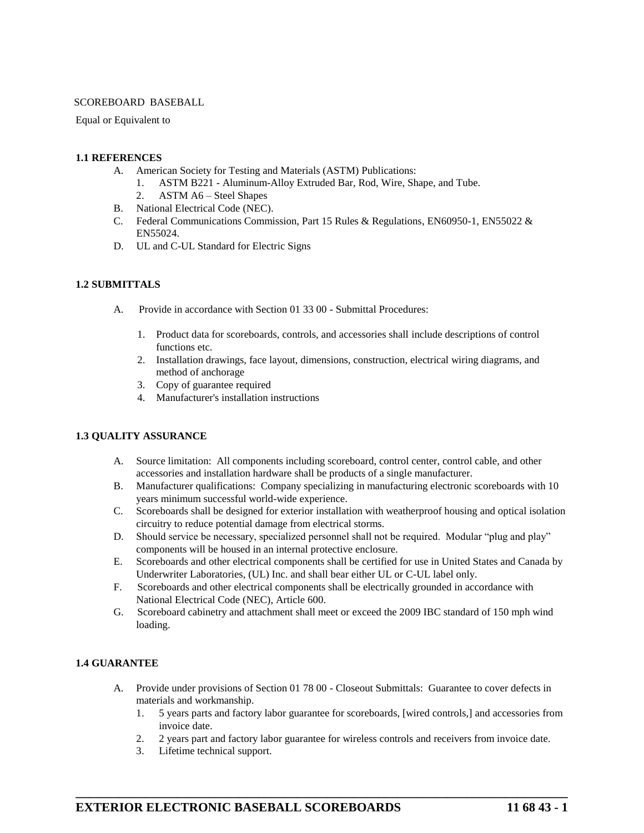#### SCOREBOARD BASEBALL

#### Equal or Equivalent to

#### **1.1 REFERENCES**

- A. American Society for Testing and Materials (ASTM) Publications:
	- 1. ASTM B221 Aluminum-Alloy Extruded Bar, Rod, Wire, Shape, and Tube.
	- 2. ASTM A6 Steel Shapes
- B. National Electrical Code (NEC).
- C. Federal Communications Commission, Part 15 Rules & Regulations, EN60950-1, EN55022 & EN55024.
- D. UL and C-UL Standard for Electric Signs

#### **1.2 SUBMITTALS**

- A. Provide in accordance with Section 01 33 00 Submittal Procedures:
	- 1. Product data for scoreboards, controls, and accessories shall include descriptions of control functions etc.
	- 2. Installation drawings, face layout, dimensions, construction, electrical wiring diagrams, and method of anchorage
	- 3. Copy of guarantee required
	- 4. Manufacturer's installation instructions

#### **1.3 QUALITY ASSURANCE**

- A. Source limitation: All components including scoreboard, control center, control cable, and other accessories and installation hardware shall be products of a single manufacturer.
- B. Manufacturer qualifications: Company specializing in manufacturing electronic scoreboards with 10 years minimum successful world-wide experience.
- C. Scoreboards shall be designed for exterior installation with weatherproof housing and optical isolation circuitry to reduce potential damage from electrical storms.
- D. Should service be necessary, specialized personnel shall not be required. Modular "plug and play" components will be housed in an internal protective enclosure.
- E. Scoreboards and other electrical components shall be certified for use in United States and Canada by Underwriter Laboratories, (UL) Inc. and shall bear either UL or C-UL label only.
- F. Scoreboards and other electrical components shall be electrically grounded in accordance with National Electrical Code (NEC), Article 600.
- G. Scoreboard cabinetry and attachment shall meet or exceed the 2009 IBC standard of 150 mph wind loading.

#### **1.4 GUARANTEE**

A. Provide under provisions of Section 01 78 00 - Closeout Submittals: Guarantee to cover defects in materials and workmanship.

**\_\_\_\_\_\_\_\_\_\_\_\_\_\_\_\_\_\_\_\_\_\_\_\_\_\_\_\_\_\_\_\_\_\_\_\_\_\_\_\_\_\_\_\_\_\_\_\_\_\_\_\_\_\_\_\_\_\_\_\_\_\_\_\_\_\_\_\_\_\_\_\_\_\_\_\_\_\_**

- 1. 5 years parts and factory labor guarantee for scoreboards, [wired controls,] and accessories from invoice date.
- 2. 2 years part and factory labor guarantee for wireless controls and receivers from invoice date.
- 3. Lifetime technical support.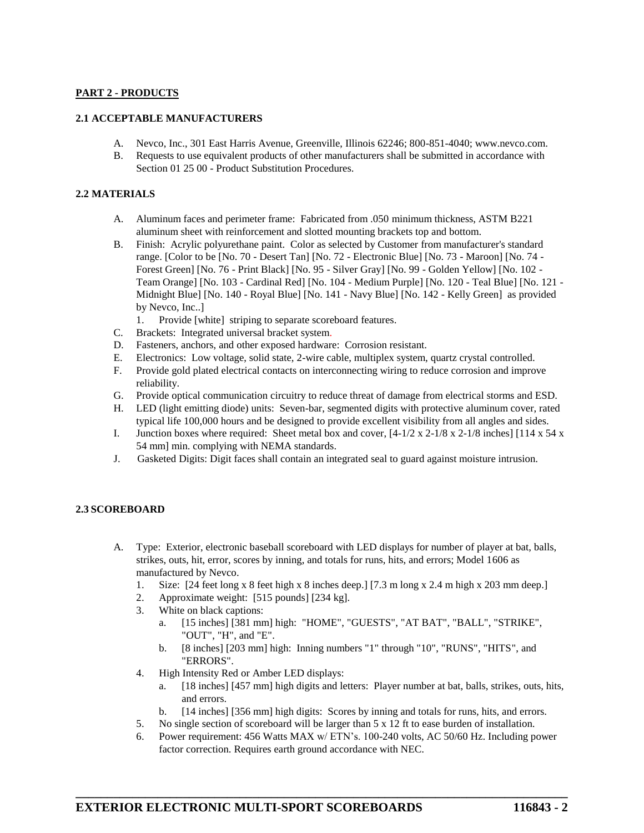# **PART 2 - PRODUCTS**

#### **2.1 ACCEPTABLE MANUFACTURERS**

- A. Nevco, Inc., 301 East Harris Avenue, Greenville, Illinois 62246; 800-851-4040; www.nevco.com.
- B. Requests to use equivalent products of other manufacturers shall be submitted in accordance with Section 01 25 00 - Product Substitution Procedures.

## **2.2 MATERIALS**

- A. Aluminum faces and perimeter frame: Fabricated from .050 minimum thickness, ASTM B221 aluminum sheet with reinforcement and slotted mounting brackets top and bottom.
- B. Finish: Acrylic polyurethane paint. Color as selected by Customer from manufacturer's standard range. [Color to be [No. 70 - Desert Tan] [No. 72 - Electronic Blue] [No. 73 - Maroon] [No. 74 - Forest Green] [No. 76 - Print Black] [No. 95 - Silver Gray] [No. 99 - Golden Yellow] [No. 102 - Team Orange] [No. 103 - Cardinal Red] [No. 104 - Medium Purple] [No. 120 - Teal Blue] [No. 121 - Midnight Blue] [No. 140 - Royal Blue] [No. 141 - Navy Blue] [No. 142 - Kelly Green] as provided by Nevco, Inc..]
	- 1. Provide [white] striping to separate scoreboard features.
- C. Brackets: Integrated universal bracket system.
- D. Fasteners, anchors, and other exposed hardware: Corrosion resistant.
- E. Electronics: Low voltage, solid state, 2-wire cable, multiplex system, quartz crystal controlled.
- F. Provide gold plated electrical contacts on interconnecting wiring to reduce corrosion and improve reliability.
- G. Provide optical communication circuitry to reduce threat of damage from electrical storms and ESD.
- H. LED (light emitting diode) units: Seven-bar, segmented digits with protective aluminum cover, rated typical life 100,000 hours and be designed to provide excellent visibility from all angles and sides.
- I. Junction boxes where required: Sheet metal box and cover, [4-1/2 x 2-1/8 x 2-1/8 inches] [114 x 54 x 54 mm] min. complying with NEMA standards.
- J. Gasketed Digits: Digit faces shall contain an integrated seal to guard against moisture intrusion.

## **2.3 SCOREBOARD**

- A. Type: Exterior, electronic baseball scoreboard with LED displays for number of player at bat, balls, strikes, outs, hit, error, scores by inning, and totals for runs, hits, and errors; Model 1606 as manufactured by Nevco.
	- 1. Size: [24 feet long x 8 feet high x 8 inches deep.] [7.3 m long x 2.4 m high x 203 mm deep.]
	- 2. Approximate weight: [515 pounds] [234 kg].
	- 3. White on black captions:
		- a. [15 inches] [381 mm] high: "HOME", "GUESTS", "AT BAT", "BALL", "STRIKE", "OUT", "H", and "E".
		- b. [8 inches] [203 mm] high: Inning numbers "1" through "10", "RUNS", "HITS", and "ERRORS".
	- 4. High Intensity Red or Amber LED displays:
		- a. [18 inches] [457 mm] high digits and letters: Player number at bat, balls, strikes, outs, hits, and errors.
		- b. [14 inches] [356 mm] high digits: Scores by inning and totals for runs, hits, and errors.
	- 5. No single section of scoreboard will be larger than 5 x 12 ft to ease burden of installation.
	- 6. Power requirement: 456 Watts MAX w/ ETN's. 100-240 volts, AC 50/60 Hz. Including power factor correction. Requires earth ground accordance with NEC.

**\_\_\_\_\_\_\_\_\_\_\_\_\_\_\_\_\_\_\_\_\_\_\_\_\_\_\_\_\_\_\_\_\_\_\_\_\_\_\_\_\_\_\_\_\_\_\_\_\_\_\_\_\_\_\_\_\_\_\_\_\_\_\_\_\_\_\_\_\_\_\_\_\_\_\_\_\_\_**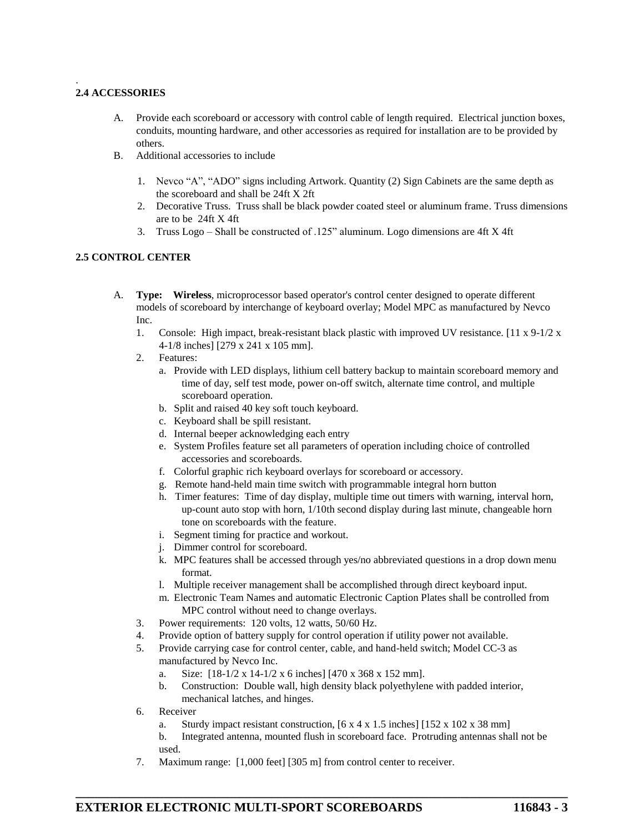#### . **2.4 ACCESSORIES**

- A. Provide each scoreboard or accessory with control cable of length required. Electrical junction boxes, conduits, mounting hardware, and other accessories as required for installation are to be provided by others.
- B. Additional accessories to include
	- 1. Nevco "A", "ADO" signs including Artwork. Quantity (2) Sign Cabinets are the same depth as the scoreboard and shall be 24ft X 2ft
	- 2. Decorative Truss. Truss shall be black powder coated steel or aluminum frame. Truss dimensions are to be 24ft X 4ft
	- 3. Truss Logo Shall be constructed of .125" aluminum. Logo dimensions are 4ft X 4ft

# **2.5 CONTROL CENTER**

- A. **Type: Wireless**, microprocessor based operator's control center designed to operate different models of scoreboard by interchange of keyboard overlay; Model MPC as manufactured by Nevco Inc.
	- 1. Console: High impact, break-resistant black plastic with improved UV resistance. [11 x 9-1/2 x 4-1/8 inches] [279 x 241 x 105 mm].
	- 2. Features:
		- a. Provide with LED displays, lithium cell battery backup to maintain scoreboard memory and time of day, self test mode, power on-off switch, alternate time control, and multiple scoreboard operation.
		- b. Split and raised 40 key soft touch keyboard.
		- c. Keyboard shall be spill resistant.
		- d. Internal beeper acknowledging each entry
		- e. System Profiles feature set all parameters of operation including choice of controlled accessories and scoreboards.
		- f. Colorful graphic rich keyboard overlays for scoreboard or accessory.
		- g. Remote hand-held main time switch with programmable integral horn button
		- h. Timer features: Time of day display, multiple time out timers with warning, interval horn, up-count auto stop with horn, 1/10th second display during last minute, changeable horn tone on scoreboards with the feature.
		- i. Segment timing for practice and workout.
		- j. Dimmer control for scoreboard.
		- k. MPC features shall be accessed through yes/no abbreviated questions in a drop down menu format.
		- l. Multiple receiver management shall be accomplished through direct keyboard input.
		- m. Electronic Team Names and automatic Electronic Caption Plates shall be controlled from MPC control without need to change overlays.
	- 3. Power requirements: 120 volts, 12 watts, 50/60 Hz.
	- 4. Provide option of battery supply for control operation if utility power not available.
	- 5. Provide carrying case for control center, cable, and hand-held switch; Model CC-3 as manufactured by Nevco Inc.
		- a. Size: [18-1/2 x 14-1/2 x 6 inches] [470 x 368 x 152 mm].
		- b. Construction: Double wall, high density black polyethylene with padded interior, mechanical latches, and hinges.
	- 6. Receiver
		- a. Sturdy impact resistant construction, [6 x 4 x 1.5 inches] [152 x 102 x 38 mm]

**\_\_\_\_\_\_\_\_\_\_\_\_\_\_\_\_\_\_\_\_\_\_\_\_\_\_\_\_\_\_\_\_\_\_\_\_\_\_\_\_\_\_\_\_\_\_\_\_\_\_\_\_\_\_\_\_\_\_\_\_\_\_\_\_\_\_\_\_\_\_\_\_\_\_\_\_\_\_**

- b. Integrated antenna, mounted flush in scoreboard face. Protruding antennas shall not be used.
- 7. Maximum range: [1,000 feet] [305 m] from control center to receiver.